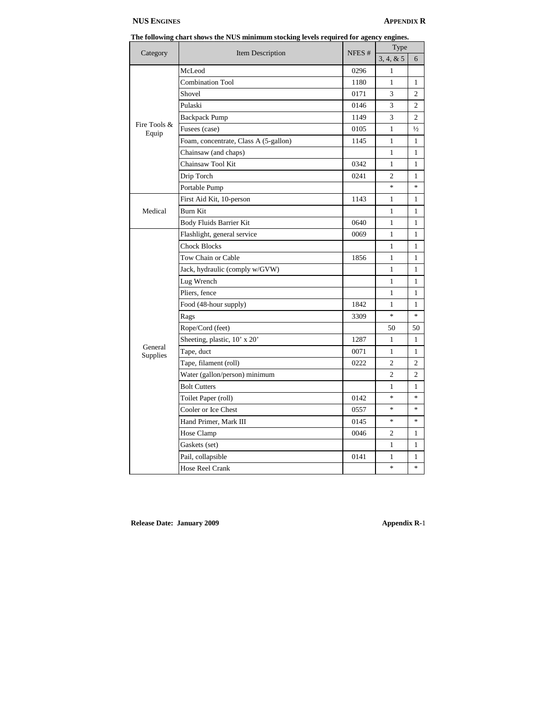# **NUS ENGINES APPENDIX R**

| The following chart shows the NUS minimum stocking levels required for agency engines. |  |  |  |
|----------------------------------------------------------------------------------------|--|--|--|
|                                                                                        |  |  |  |

| Category              | Item Description                      | NFES <sup>#</sup> | Type           |                                   |
|-----------------------|---------------------------------------|-------------------|----------------|-----------------------------------|
|                       |                                       |                   | 3, 4, 8, 5     | 6                                 |
| Fire Tools &<br>Equip | McLeod                                | 0296              | 1              |                                   |
|                       | <b>Combination Tool</b>               | 1180              | 1              | $\mathbf{1}$                      |
|                       | Shovel                                | 0171              | 3              | $\overline{c}$                    |
|                       | Pulaski                               | 0146              | 3              | $\mathfrak{D}$                    |
|                       | <b>Backpack Pump</b>                  | 1149              | 3              | $\mathfrak{D}$                    |
|                       | Fusees (case)                         | 0105              | 1              | $\frac{1}{2}$                     |
|                       | Foam, concentrate, Class A (5-gallon) | 1145              | 1              | 1                                 |
|                       | Chainsaw (and chaps)                  |                   | 1              | 1                                 |
|                       | Chainsaw Tool Kit                     | 0342              | 1              | 1                                 |
|                       | Drip Torch                            | 0241              | 2              | 1                                 |
|                       | Portable Pump                         |                   | $*$            | $\frac{d\mathbf{x}}{d\mathbf{x}}$ |
|                       | First Aid Kit, 10-person              | 1143              | 1              | 1                                 |
| Medical               | Burn Kit                              |                   | 1              | 1                                 |
|                       | Body Fluids Barrier Kit               | 0640              | 1              | 1                                 |
|                       | Flashlight, general service           | 0069              | $\mathbf{1}$   | 1                                 |
|                       | <b>Chock Blocks</b>                   |                   | $\mathbf{1}$   | 1                                 |
|                       | Tow Chain or Cable                    | 1856              | $\mathbf{1}$   | 1                                 |
|                       | Jack, hydraulic (comply w/GVW)        |                   | $\mathbf{1}$   | 1                                 |
|                       | Lug Wrench                            |                   | 1              | 1                                 |
|                       | Pliers, fence                         |                   | 1              | 1                                 |
|                       | Food (48-hour supply)                 | 1842              | 1              | 1                                 |
|                       | Rags                                  | 3309              | $\ast$         | $\frac{1}{2}$                     |
|                       | Rope/Cord (feet)                      |                   | 50             | 50                                |
|                       | Sheeting, plastic, 10' x 20'          | 1287              | 1              | 1                                 |
| General<br>Supplies   | Tape, duct                            | 0071              | 1              | 1                                 |
|                       | Tape, filament (roll)                 | 0222              | $\overline{c}$ | $\overline{c}$                    |
|                       | Water (gallon/person) minimum         |                   | $\overline{c}$ | $\overline{c}$                    |
|                       | <b>Bolt Cutters</b>                   |                   | 1              | $\mathbf{1}$                      |
|                       | Toilet Paper (roll)                   | 0142              | $*$            | $\frac{d\mathbf{r}}{dt}$          |
|                       | Cooler or Ice Chest                   | 0557              | $\ast$         | $\frac{d}{dt}$                    |
|                       | Hand Primer, Mark III                 | 0145              | $\frac{1}{2}$  | $\frac{1}{2}$                     |
|                       | Hose Clamp                            | 0046              | 2              | 1                                 |
|                       | Gaskets (set)                         |                   | $\mathbf{1}$   | 1                                 |
|                       | Pail, collapsible                     | 0141              | 1              | 1                                 |
|                       | Hose Reel Crank                       |                   | $*$            | ×.                                |

**Release Date: January 2009 Appendix R-**1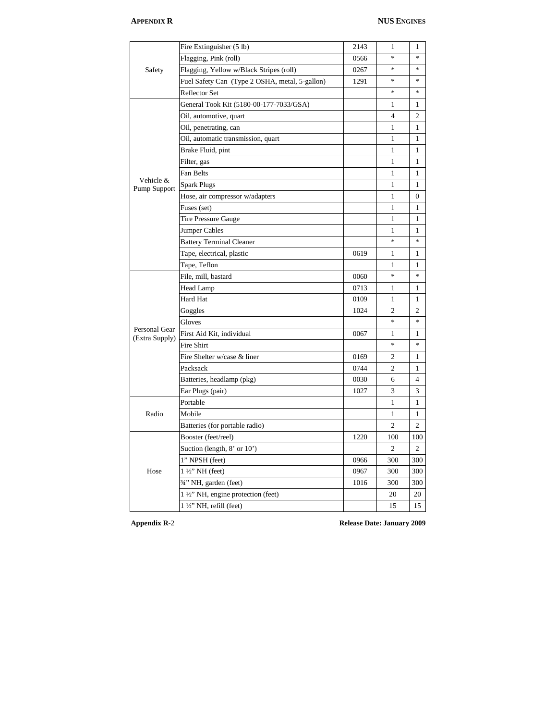| Safety                          | Fire Extinguisher (5 lb)                       | 2143 | 1              | 1              |
|---------------------------------|------------------------------------------------|------|----------------|----------------|
|                                 | Flagging, Pink (roll)                          | 0566 | $\ast$         | $\ast$         |
|                                 | Flagging, Yellow w/Black Stripes (roll)        | 0267 | $\ast$         | $\ast$         |
|                                 | Fuel Safety Can (Type 2 OSHA, metal, 5-gallon) | 1291 | $\ast$         | $\ast$         |
|                                 | Reflector Set                                  |      | *              | $\ast$         |
|                                 | General Took Kit (5180-00-177-7033/GSA)        |      | 1              | 1              |
|                                 | Oil, automotive, quart                         |      | $\overline{4}$ | $\overline{c}$ |
|                                 | Oil, penetrating, can                          |      | $\mathbf{1}$   | 1              |
|                                 | Oil, automatic transmission, quart             |      | 1              | 1              |
|                                 | Brake Fluid, pint                              |      | 1              | 1              |
|                                 | Filter, gas                                    |      | $\mathbf{1}$   | 1              |
|                                 | Fan Belts                                      |      | $\mathbf{1}$   | 1              |
| Vehicle &<br>Pump Support       | <b>Spark Plugs</b>                             |      | $\mathbf{1}$   | $\mathbf{1}$   |
|                                 | Hose, air compressor w/adapters                |      | $\mathbf{1}$   | $\mathbf{0}$   |
|                                 | Fuses (set)                                    |      | 1              | 1              |
|                                 | Tire Pressure Gauge                            |      | 1              | 1              |
|                                 | <b>Jumper Cables</b>                           |      | 1              | 1              |
|                                 | <b>Battery Terminal Cleaner</b>                |      | $\ast$         | $\ast$         |
|                                 | Tape, electrical, plastic                      | 0619 | 1              | 1              |
|                                 | Tape, Teflon                                   |      | 1              | 1              |
|                                 | File, mill, bastard                            | 0060 | *              | $\frac{1}{26}$ |
|                                 | Head Lamp                                      | 0713 | $\mathbf{1}$   | 1              |
|                                 | Hard Hat                                       | 0109 | $\mathbf{1}$   | 1              |
|                                 | Goggles                                        | 1024 | $\overline{c}$ | $\overline{c}$ |
|                                 | Gloves                                         |      | *              | $\ast$         |
| Personal Gear<br>(Extra Supply) | First Aid Kit, individual                      | 0067 | 1              | $\mathbf{1}$   |
|                                 | Fire Shirt                                     |      | $\ast$         | $\ast$         |
|                                 | Fire Shelter w/case & liner                    | 0169 | $\overline{2}$ | 1              |
|                                 | Packsack                                       | 0744 | $\overline{c}$ | 1              |
|                                 | Batteries, headlamp (pkg)                      | 0030 | 6              | $\overline{4}$ |
|                                 | Ear Plugs (pair)                               | 1027 | 3              | 3              |
|                                 | Portable                                       |      | 1              | 1              |
| Radio                           | Mobile                                         |      | 1              | 1              |
|                                 | Batteries (for portable radio)                 |      | $\overline{c}$ | 2              |
| Hose                            | Booster (feet/reel)                            | 1220 | 100            | 100            |
|                                 | Suction (length, $8'$ or $10'$ )               |      | 2              | 2              |
|                                 | 1" NPSH (feet)                                 | 0966 | 300            | 300            |
|                                 | $1\frac{1}{2}$ " NH (feet)                     | 0967 | 300            | 300            |
|                                 | 3/4" NH, garden (feet)                         | 1016 | 300            | 300            |
|                                 | 1 1/2" NH, engine protection (feet)            |      | 20             | 20             |
|                                 | $1\frac{1}{2}$ " NH, refill (feet)             |      | 15             | 15             |

**Appendix R-**2 **Release Date: January 2009**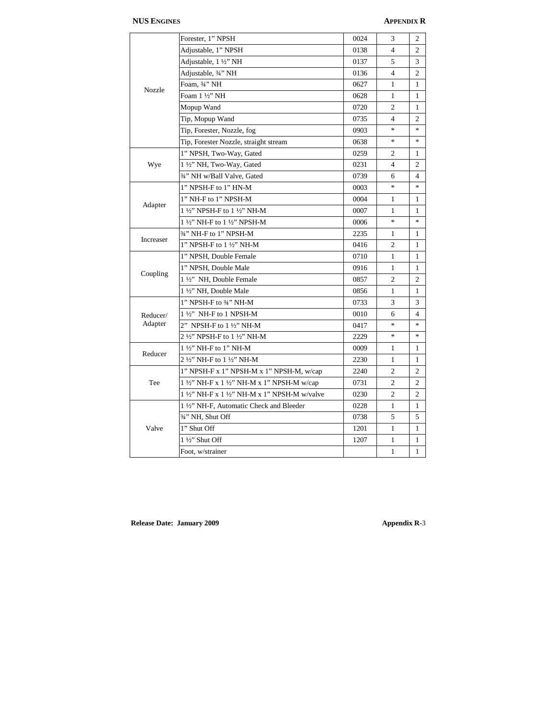| Nozzle    | Forester, 1" NPSH                             | 0024 | 3                        | $\mathfrak{2}$ |
|-----------|-----------------------------------------------|------|--------------------------|----------------|
|           | Adjustable, 1" NPSH                           | 0138 | $\overline{4}$           | $\overline{c}$ |
|           | Adjustable, 1 ½" NH                           | 0137 | 5                        | 3              |
|           | Adjustable, 3/4" NH                           | 0136 | $\overline{4}$           | $\overline{c}$ |
|           | Foam, ¾" NH                                   | 0627 | 1                        | 1              |
|           | Foam 1 1/2" NH                                | 0628 | 1                        | 1              |
|           | Mopup Wand                                    | 0720 | $\overline{c}$           | 1              |
|           | Tip, Mopup Wand                               | 0735 | $\overline{\mathcal{L}}$ | $\overline{c}$ |
|           | Tip, Forester, Nozzle, fog                    | 0903 | $\ast$                   | $\frac{1}{2}$  |
|           | Tip, Forester Nozzle, straight stream         | 0638 | $\ast$                   | $\ast$         |
|           | 1" NPSH, Two-Way, Gated                       | 0259 | 2                        | 1              |
| Wye       | 1 1/2" NH, Two-Way, Gated                     | 0231 | $\overline{4}$           | $\overline{c}$ |
|           | 3/4" NH w/Ball Valve, Gated                   | 0739 | 6                        | 4              |
|           | 1" NPSH-F to 1" HN-M                          | 0003 | $\ast$                   | $\ast$         |
|           | 1" NH-F to 1" NPSH-M                          | 0004 | 1                        | 1              |
| Adapter   | 1 1/2" NPSH-F to 1 1/2" NH-M                  | 0007 | 1                        | 1              |
|           | 1 1/2" NH-F to 1 1/2" NPSH-M                  | 0006 | $\ast$                   | $\frac{1}{2}$  |
|           | 3/4" NH-F to 1" NPSH-M                        | 2235 | 1                        | 1              |
| Increaser | 1" NPSH-F to 1 1/2" NH-M                      | 0416 | $\overline{c}$           | 1              |
|           | 1" NPSH, Double Female                        | 0710 | 1                        | 1              |
|           | 1" NPSH, Double Male                          | 0916 | $\mathbf{1}$             | 1              |
| Coupling  | 1 1/2" NH, Double Female                      | 0857 | $\overline{c}$           | $\overline{c}$ |
|           | 1 1/2" NH, Double Male                        | 0856 | $\mathbf{1}$             | 1              |
|           | 1" NPSH-F to 3/4" NH-M                        | 0733 | 3                        | 3              |
| Reducer/  | 1 1/2" NH-F to 1 NPSH-M                       | 0010 | 6                        | 4              |
| Adapter   | 2" NPSH-F to 1 1/2" NH-M                      | 0417 | $\ast$                   | $\star$        |
|           | 2 1/2" NPSH-F to 1 1/2" NH-M                  | 2229 | $\ast$                   | $\ast$         |
|           | 1 1/2" NH-F to 1" NH-M                        | 0009 | 1                        | 1              |
| Reducer   | 2 1/2" NH-F to 1 1/2" NH-M                    | 2230 | $\mathbf{1}$             | $\mathbf{1}$   |
| Tee       | 1" NPSH-F x 1" NPSH-M x 1" NPSH-M, w/cap      | 2240 | $\overline{c}$           | $\overline{c}$ |
|           | 1 1/2" NH-F x 1 1/2" NH-M x 1" NPSH-M w/cap   | 0731 | $\overline{c}$           | 2              |
|           | 1 1/2" NH-F x 1 1/2" NH-M x 1" NPSH-M w/valve | 0230 | $\overline{c}$           | $\overline{c}$ |
| Valve     | 1 1/2" NH-F, Automatic Check and Bleeder      | 0228 | 1                        | 1              |
|           | 3/4" NH, Shut Off                             | 0738 | 5                        | 5              |
|           | 1" Shut Off                                   | 1201 | 1                        | 1              |
|           | 1 1/2" Shut Off                               | 1207 | $\mathbf{1}$             | 1              |
|           | Foot, w/strainer                              |      | $\mathbf{1}$             | $\mathbf{1}$   |
|           |                                               |      |                          |                |

**Release Date: January 2009 Appendix R-**3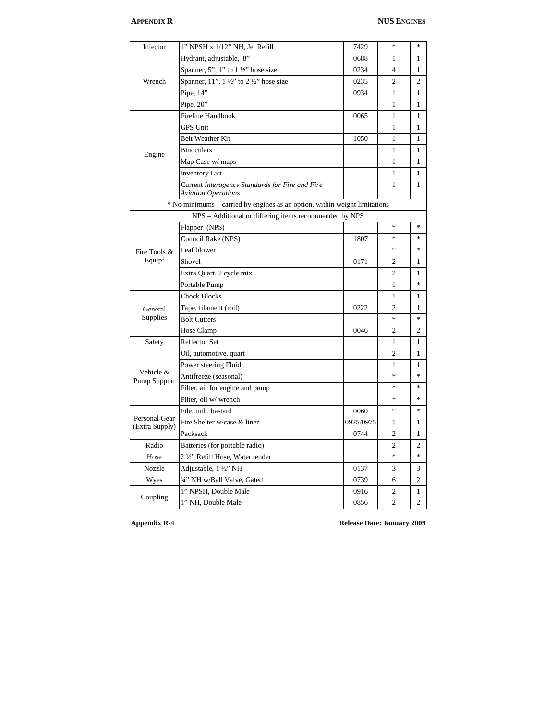| Injector                        | 1" NPSH x 1/12" NH, Jet Refill                                                | 7429      | *                                 | $\ast$                            |
|---------------------------------|-------------------------------------------------------------------------------|-----------|-----------------------------------|-----------------------------------|
| Wrench                          | Hydrant, adjustable, 8"                                                       | 0688      | 1                                 | 1                                 |
|                                 | Spanner, 5", 1" to $1\frac{1}{2}$ " hose size                                 | 0234      | 4                                 | 1                                 |
|                                 | Spanner, 11", 1 1/2" to 2 1/2" hose size                                      | 0235      | $\overline{c}$                    | $\overline{c}$                    |
|                                 | Pipe, $14$ "                                                                  | 0934      | $\mathbf{1}$                      | $\mathbf{1}$                      |
|                                 | Pipe, $20$ "                                                                  |           | 1                                 | 1                                 |
|                                 | <b>Fireline Handbook</b>                                                      | 0065      | 1                                 | 1                                 |
|                                 | <b>GPS Unit</b>                                                               |           | $\mathbf{1}$                      | 1                                 |
|                                 | <b>Belt Weather Kit</b>                                                       | 1050      | 1                                 | 1                                 |
| Engine                          | <b>Binoculars</b>                                                             |           | $\mathbf{1}$                      | 1                                 |
|                                 | Map Case w/ maps                                                              |           | 1                                 | 1                                 |
|                                 | <b>Inventory List</b>                                                         |           | 1                                 | 1                                 |
|                                 | Current Interagency Standards for Fire and Fire<br><b>Aviation Operations</b> |           | 1                                 | 1                                 |
|                                 | * No minimums - carried by engines as an option, within weight limitations    |           |                                   |                                   |
|                                 | NPS - Additional or differing items recommended by NPS                        |           |                                   |                                   |
|                                 | Flapper (NPS)                                                                 |           | $\frac{d\mathbf{r}}{d\mathbf{r}}$ | $\frac{1}{2}$                     |
|                                 | Council Rake (NPS)                                                            | 1807      | $\frac{1}{2}$                     | $\frac{1}{2}$                     |
| Fire Tools &                    | Leaf blower                                                                   |           | *                                 | $\frac{1}{2}$                     |
| Equip <sup>1</sup>              | Shovel                                                                        | 0171      | 2                                 | 1                                 |
|                                 | Extra Quart, 2 cycle mix                                                      |           | $\overline{c}$                    | 1                                 |
|                                 | Portable Pump                                                                 |           | 1                                 | 家                                 |
|                                 | <b>Chock Blocks</b>                                                           |           | $\mathbf{1}$                      | 1                                 |
| General                         | Tape, filament (roll)                                                         | 0222      | $\overline{c}$                    | 1                                 |
| Supplies                        | <b>Bolt Cutters</b>                                                           |           | $\frac{1}{2}$                     | $\frac{d\mathbf{r}}{d\mathbf{r}}$ |
|                                 | Hose Clamp                                                                    | 0046      | 2                                 | $\overline{2}$                    |
| Safety                          | Reflector Set                                                                 |           | 1                                 | 1                                 |
|                                 | Oil, automotive, quart                                                        |           | 2                                 | 1                                 |
|                                 | Power steering Fluid                                                          |           | 1                                 | 1                                 |
| Vehicle &<br>Pump Support       | Antifreeze (seasonal)                                                         |           | \$                                | $\frac{d\mathbf{r}}{dt}$          |
|                                 | Filter, air for engine and pump                                               |           | $\ast$                            | $\frac{1}{2}$                     |
|                                 | Filter, oil w/ wrench                                                         |           | $\frac{1}{2}$                     | $\frac{1}{2}$                     |
| Personal Gear<br>(Extra Supply) | File, mill, bastard                                                           | 0060      | *                                 | $\frac{1}{2}$                     |
|                                 | Fire Shelter w/case & liner                                                   | 0925/0975 | 1                                 | 1                                 |
|                                 | Packsack                                                                      | 0744      | 2                                 | 1                                 |
| Radio                           | Batteries (for portable radio)                                                |           | $\overline{c}$                    | $\overline{c}$                    |
| Hose                            | 2 1/2" Refill Hose, Water tender                                              |           | *                                 | $\frac{1}{2}$                     |
| Nozzle                          | Adjustable, 1 1/2" NH                                                         | 0137      | 3                                 | 3                                 |
| Wyes                            | 3/4" NH w/Ball Valve, Gated                                                   | 0739      | 6                                 | $\overline{c}$                    |
|                                 | 1" NPSH, Double Male                                                          | 0916      | $\overline{\mathbf{c}}$           | $\mathbf{1}$                      |
| Coupling                        | 1" NH, Double Male                                                            | 0856      | $\overline{2}$                    | $\overline{2}$                    |

**Appendix R-**4 **Release Date: January 2009**